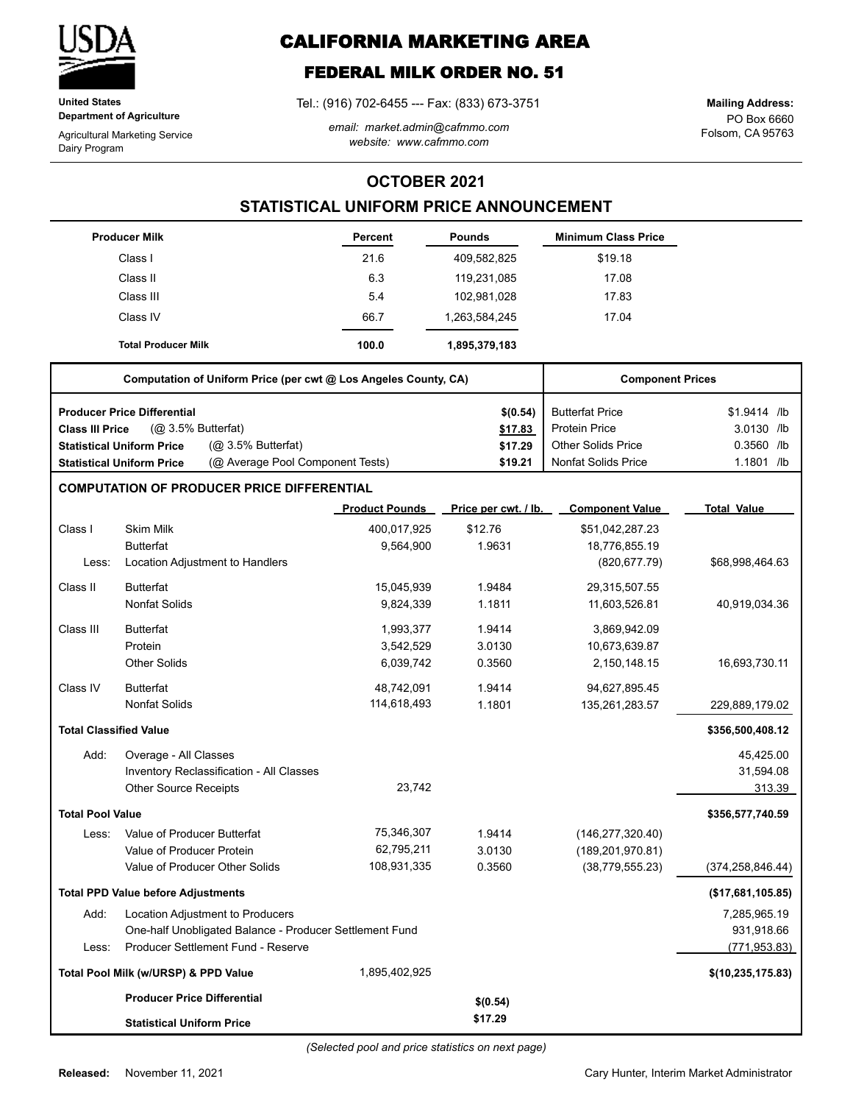

**United States Department of Agriculture**

Agricultural Marketing Service Dairy Program

# **CALIFORNIA MARKETING AREA**

## **FEDERAL MILK ORDER NO. 51**

Tel.: (916) 702-6455 --- Fax: (833) 673-3751

*email: market.admin@cafmmo.com website: www.cafmmo.com*

PO Box 6660 Folsom, CA 95763 **Mailing Address:**

### **OCTOBER 2021**

## **STATISTICAL UNIFORM PRICE ANNOUNCEMENT**

|                               | <b>Producer Milk</b>                                                 | <b>Percent</b>        | <b>Pounds</b>        | <b>Minimum Class Price</b> |                     |
|-------------------------------|----------------------------------------------------------------------|-----------------------|----------------------|----------------------------|---------------------|
|                               | Class I                                                              | 21.6                  | 409,582,825          | \$19.18                    |                     |
|                               | Class II                                                             | 6.3                   | 119,231,085          | 17.08                      |                     |
|                               | Class III                                                            | 5.4                   | 102,981,028          | 17.83                      |                     |
|                               | Class IV                                                             | 66.7                  | 1,263,584,245        | 17.04                      |                     |
|                               | <b>Total Producer Milk</b>                                           | 100.0                 | 1,895,379,183        |                            |                     |
|                               | Computation of Uniform Price (per cwt @ Los Angeles County, CA)      |                       |                      | <b>Component Prices</b>    |                     |
|                               | <b>Producer Price Differential</b>                                   |                       | \$(0.54)             | <b>Butterfat Price</b>     | \$1.9414 /lb        |
| <b>Class III Price</b>        | (@ 3.5% Butterfat)                                                   |                       | \$17.83              | <b>Protein Price</b>       | 3.0130 /lb          |
|                               | (@ 3.5% Butterfat)<br><b>Statistical Uniform Price</b>               |                       | \$17.29              | <b>Other Solids Price</b>  | $0.3560$ /lb        |
|                               | (@ Average Pool Component Tests)<br><b>Statistical Uniform Price</b> |                       | \$19.21              | <b>Nonfat Solids Price</b> | 1.1801 /lb          |
|                               | <b>COMPUTATION OF PRODUCER PRICE DIFFERENTIAL</b>                    |                       |                      |                            |                     |
|                               |                                                                      | <b>Product Pounds</b> | Price per cwt. / lb. | <b>Component Value</b>     | <b>Total Value</b>  |
| Class I                       | <b>Skim Milk</b>                                                     | 400,017,925           | \$12.76              | \$51,042,287.23            |                     |
|                               | <b>Butterfat</b>                                                     | 9,564,900             | 1.9631               | 18,776,855.19              |                     |
| Less:                         | Location Adjustment to Handlers                                      |                       |                      | (820, 677.79)              | \$68,998,464.63     |
| Class II                      | <b>Butterfat</b>                                                     | 15,045,939            | 1.9484               | 29,315,507.55              |                     |
|                               | <b>Nonfat Solids</b>                                                 | 9,824,339             | 1.1811               | 11,603,526.81              | 40,919,034.36       |
| Class III                     | <b>Butterfat</b>                                                     | 1,993,377             | 1.9414               | 3,869,942.09               |                     |
|                               | Protein                                                              | 3,542,529             | 3.0130               | 10,673,639.87              |                     |
|                               | <b>Other Solids</b>                                                  | 6,039,742             | 0.3560               | 2,150,148.15               | 16,693,730.11       |
| Class IV                      | <b>Butterfat</b>                                                     | 48,742,091            | 1.9414               | 94,627,895.45              |                     |
|                               | <b>Nonfat Solids</b>                                                 | 114,618,493           | 1.1801               | 135,261,283.57             | 229,889,179.02      |
| <b>Total Classified Value</b> |                                                                      |                       |                      |                            | \$356,500,408.12    |
| Add:                          | Overage - All Classes                                                |                       |                      |                            | 45,425.00           |
|                               | Inventory Reclassification - All Classes                             |                       |                      |                            | 31,594.08           |
|                               | <b>Other Source Receipts</b>                                         | 23,742                |                      |                            | 313.39              |
| <b>Total Pool Value</b>       |                                                                      |                       |                      |                            | \$356,577,740.59    |
| Less:                         | Value of Producer Butterfat                                          | 75,346,307            | 1.9414               | (146, 277, 320.40)         |                     |
|                               | Value of Producer Protein                                            | 62,795,211            | 3.0130               | (189, 201, 970.81)         |                     |
|                               | Value of Producer Other Solids                                       | 108,931,335           | 0.3560               | (38, 779, 555.23)          | (374,258,846.44)    |
|                               | <b>Total PPD Value before Adjustments</b>                            |                       |                      |                            | (\$17,681,105.85)   |
| Add:                          | Location Adjustment to Producers                                     |                       |                      |                            | 7,285,965.19        |
|                               | One-half Unobligated Balance - Producer Settlement Fund              |                       |                      |                            | 931,918.66          |
| Less:                         | Producer Settlement Fund - Reserve                                   |                       |                      |                            | (771, 953.83)       |
|                               | Total Pool Milk (w/URSP) & PPD Value                                 | 1,895,402,925         |                      |                            | \$(10, 235, 175.83) |
|                               | <b>Producer Price Differential</b>                                   |                       | \$(0.54)             |                            |                     |
|                               | <b>Statistical Uniform Price</b>                                     |                       | \$17.29              |                            |                     |

Cary Hunter, Interim Market Administrator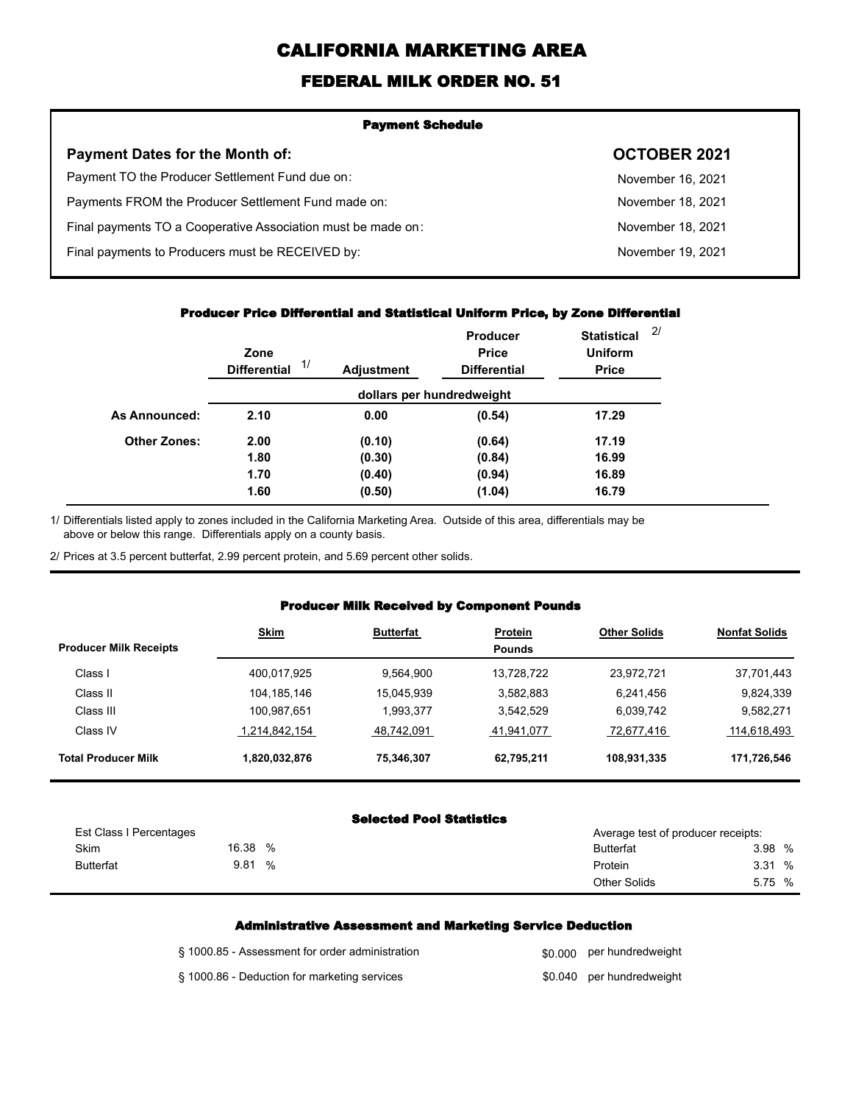# **CALIFORNIA MARKETING AREA**

## **FEDERAL MILK ORDER NO. 51**

| <b>Payment Schedule</b>                                      |                     |  |  |  |  |
|--------------------------------------------------------------|---------------------|--|--|--|--|
| <b>Payment Dates for the Month of:</b>                       | <b>OCTOBER 2021</b> |  |  |  |  |
| Payment TO the Producer Settlement Fund due on:              | November 16, 2021   |  |  |  |  |
| Payments FROM the Producer Settlement Fund made on:          | November 18, 2021   |  |  |  |  |
| Final payments TO a Cooperative Association must be made on: | November 18, 2021   |  |  |  |  |
| Final payments to Producers must be RECEIVED by:             | November 19, 2021   |  |  |  |  |
|                                                              |                     |  |  |  |  |

#### **Producer Price Differential and Statistical Uniform Price, by Zone Differential**

|                     | Zone<br>1/<br><b>Differential</b> | <b>Adjustment</b> | Producer<br><b>Price</b><br><b>Differential</b> | <b>Statistical</b><br><b>Uniform</b><br><b>Price</b> | 2/ |
|---------------------|-----------------------------------|-------------------|-------------------------------------------------|------------------------------------------------------|----|
|                     |                                   |                   | dollars per hundredweight                       |                                                      |    |
| As Announced:       | 2.10                              | 0.00              | (0.54)                                          | 17.29                                                |    |
| <b>Other Zones:</b> | 2.00                              | (0.10)            | (0.64)                                          | 17.19                                                |    |
|                     | 1.80                              | (0.30)            | (0.84)                                          | 16.99                                                |    |
|                     | 1.70                              | (0.40)            | (0.94)                                          | 16.89                                                |    |
|                     | 1.60                              | (0.50)            | (1.04)                                          | 16.79                                                |    |

Differentials listed apply to zones included in the California Marketing Area. Outside of this area, differentials may be above or below this range. Differentials apply on a county basis. 1/

2/ Prices at 3.5 percent butterfat, 2.99 percent protein, and 5.69 percent other solids.

#### **Producer Milk Received by Component Pounds**

| <b>Producer Milk Receipts</b> | <b>Skim</b>   | <b>Butterfat</b> | Protein<br><b>Pounds</b> | <b>Other Solids</b> | <b>Nonfat Solids</b> |
|-------------------------------|---------------|------------------|--------------------------|---------------------|----------------------|
| Class I                       | 400,017,925   | 9.564.900        | 13.728.722               | 23.972.721          | 37,701,443           |
| Class II                      | 104,185,146   | 15.045.939       | 3,582,883                | 6,241,456           | 9,824,339            |
| Class III                     | 100,987,651   | 1,993,377        | 3.542.529                | 6,039,742           | 9,582,271            |
| Class IV                      | 1.214.842.154 | 48.742.091       | 41,941,077               | 72,677,416          | 114,618,493          |
| <b>Total Producer Milk</b>    | 1,820,032,876 | 75,346,307       | 62,795,211               | 108,931,335         | 171,726,546          |

#### **Selected Pool Statistics**

| Est Class I Percentages |       |   | Average test of producer receipts: |        |  |
|-------------------------|-------|---|------------------------------------|--------|--|
| <b>Skim</b>             | 16.38 | % | Butterfat                          | 3.98 % |  |
| <b>Butterfat</b>        | 9.81  | % | Protein                            | 3.31%  |  |
|                         |       |   | <b>Other Solids</b>                | 5.75 % |  |

#### **Administrative Assessment and Marketing Service Deduction**

| § 1000.85 - Assessment for order administration | \$0,000 per hundredweight |
|-------------------------------------------------|---------------------------|
| § 1000.86 - Deduction for marketing services    | \$0.040 per hundredweight |